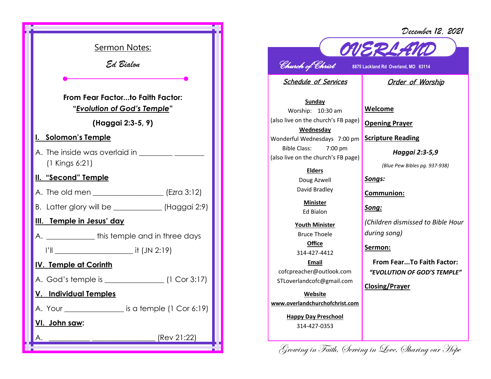*December 12, 2021*



## *Church of Christ* **8875 Lackland Rd Overland, MO 63114**

*OVERLAND* 

Schedule of Services

## Order of Worship

**Sunday** Worship: 10:30 am (also live on the church's FB page) **Wednesday** Wonderful Wednesdays 7:00 pm Bible Class: 7:00 pm (also live on the church's FB page)

> **Elders** Doug Azwell David Bradley

**Minister** Ed Bialon

**Youth Minister** Bruce Thoele **Office**

314-427-4412

**Email** cofcpreacher@outlook.com STLoverlandcofc@gmail.com

**Website www.overlandchurchofchrist.com**

> **Happy Day Preschool** 314-427-0353

**Welcome**

**Opening Prayer**

**Scripture Reading**

*Haggai 2:3-5,9*

*(Blue Pew Bibles pg. 937-938)*

*Songs:*

**Communion:**

*Song:*

*(Children dismissed to Bible Hour during song)*

**Sermon:** 

**From Fear...To Faith Factor:**  *"EVOLUTION OF GOD'S TEMPLE"*

**Closing/Prayer**

Growing in Faith, Serving in Love, Sharing our Hope